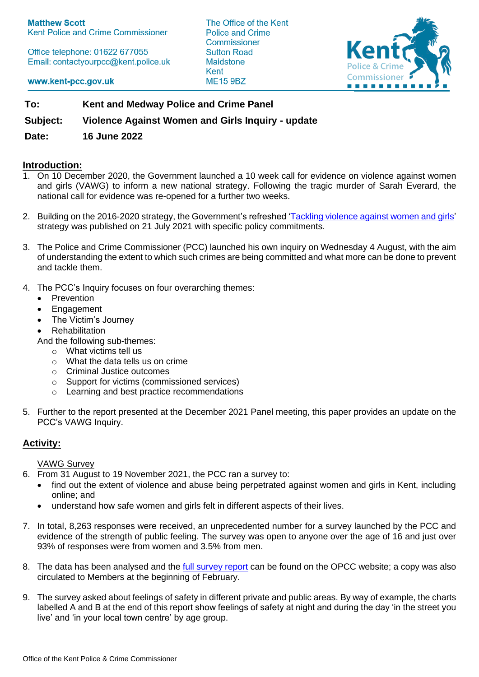Office telephone: 01622 677055 Email: contactyourpcc@kent.police.uk The Office of the Kent Police and Crime Commissioner **Sutton Road Maidstone** Kent **ME15 9BZ** 



www.kent-pcc.gov.uk

**To: Kent and Medway Police and Crime Panel**

**Subject: Violence Against Women and Girls Inquiry - update**

**Date: 16 June 2022**

## **Introduction:**

- 1. On 10 December 2020, the Government launched a 10 week call for evidence on violence against women and girls (VAWG) to inform a new national strategy. Following the tragic murder of Sarah Everard, the national call for evidence was re-opened for a further two weeks.
- 2. Building on the 2016-2020 strategy, the Government's refreshed ['Tackling violence against women and girls'](https://www.gov.uk/government/publications/tackling-violence-against-women-and-girls-strategy)  strategy was published on 21 July 2021 with specific policy commitments.
- 3. The Police and Crime Commissioner (PCC) launched his own inquiry on Wednesday 4 August, with the aim of understanding the extent to which such crimes are being committed and what more can be done to prevent and tackle them.
- 4. The PCC's Inquiry focuses on four overarching themes:
	- Prevention
	- Engagement
	- The Victim's Journey
	- **Rehabilitation**

And the following sub-themes:

- o What victims tell us
- $\circ$  What the data tells us on crime
- o Criminal Justice outcomes
- o Support for victims (commissioned services)
- o Learning and best practice recommendations
- 5. Further to the report presented at the December 2021 Panel meeting, this paper provides an update on the PCC's VAWG Inquiry.

# **Activity:**

VAWG Survey

- 6. From 31 August to 19 November 2021, the PCC ran a survey to:
	- find out the extent of violence and abuse being perpetrated against women and girls in Kent, including online; and
	- understand how safe women and girls felt in different aspects of their lives.
- 7. In total, 8,263 responses were received, an unprecedented number for a survey launched by the PCC and evidence of the strength of public feeling. The survey was open to anyone over the age of 16 and just over 93% of responses were from women and 3.5% from men.
- 8. The data has been analysed and the full [survey report](https://www.kent-pcc.gov.uk/SysSiteAssets/media/downloads/vawg/results-of-the-pcc-violence-against-women-and-girls-survey.pdf) can be found on the OPCC website; a copy was also circulated to Members at the beginning of February.
- 9. The survey asked about feelings of safety in different private and public areas. By way of example, the charts labelled A and B at the end of this report show feelings of safety at night and during the day 'in the street you live' and 'in your local town centre' by age group.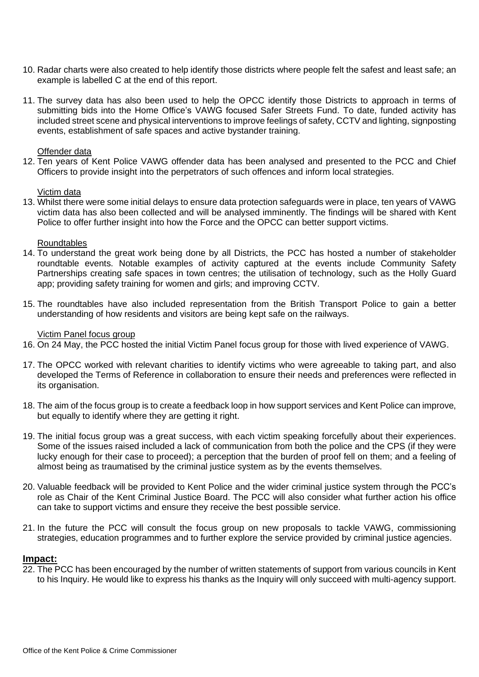- 10. Radar charts were also created to help identify those districts where people felt the safest and least safe; an example is labelled C at the end of this report.
- 11. The survey data has also been used to help the OPCC identify those Districts to approach in terms of submitting bids into the Home Office's VAWG focused Safer Streets Fund. To date, funded activity has included street scene and physical interventions to improve feelings of safety, CCTV and lighting, signposting events, establishment of safe spaces and active bystander training.

#### Offender data

12. Ten years of Kent Police VAWG offender data has been analysed and presented to the PCC and Chief Officers to provide insight into the perpetrators of such offences and inform local strategies.

#### Victim data

13. Whilst there were some initial delays to ensure data protection safeguards were in place, ten years of VAWG victim data has also been collected and will be analysed imminently. The findings will be shared with Kent Police to offer further insight into how the Force and the OPCC can better support victims.

#### **Roundtables**

- 14. To understand the great work being done by all Districts, the PCC has hosted a number of stakeholder roundtable events. Notable examples of activity captured at the events include Community Safety Partnerships creating safe spaces in town centres; the utilisation of technology, such as the Holly Guard app; providing safety training for women and girls; and improving CCTV.
- 15. The roundtables have also included representation from the British Transport Police to gain a better understanding of how residents and visitors are being kept safe on the railways.

### Victim Panel focus group

- 16. On 24 May, the PCC hosted the initial Victim Panel focus group for those with lived experience of VAWG.
- 17. The OPCC worked with relevant charities to identify victims who were agreeable to taking part, and also developed the Terms of Reference in collaboration to ensure their needs and preferences were reflected in its organisation.
- 18. The aim of the focus group is to create a feedback loop in how support services and Kent Police can improve, but equally to identify where they are getting it right.
- 19. The initial focus group was a great success, with each victim speaking forcefully about their experiences. Some of the issues raised included a lack of communication from both the police and the CPS (if they were lucky enough for their case to proceed); a perception that the burden of proof fell on them; and a feeling of almost being as traumatised by the criminal justice system as by the events themselves.
- 20. Valuable feedback will be provided to Kent Police and the wider criminal justice system through the PCC's role as Chair of the Kent Criminal Justice Board. The PCC will also consider what further action his office can take to support victims and ensure they receive the best possible service.
- 21. In the future the PCC will consult the focus group on new proposals to tackle VAWG, commissioning strategies, education programmes and to further explore the service provided by criminal justice agencies.

#### **Impact:**

22. The PCC has been encouraged by the number of written statements of support from various councils in Kent to his Inquiry. He would like to express his thanks as the Inquiry will only succeed with multi-agency support.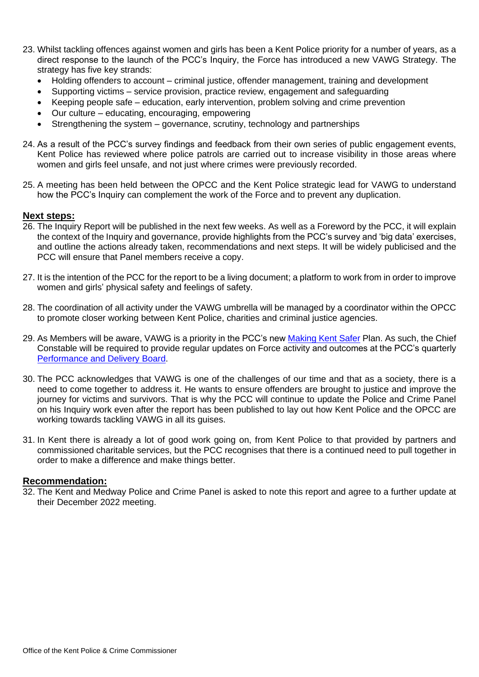- 23. Whilst tackling offences against women and girls has been a Kent Police priority for a number of years, as a direct response to the launch of the PCC's Inquiry, the Force has introduced a new VAWG Strategy. The strategy has five key strands:
	- Holding offenders to account criminal justice, offender management, training and development
	- Supporting victims service provision, practice review, engagement and safeguarding
	- Keeping people safe education, early intervention, problem solving and crime prevention
	- Our culture educating, encouraging, empowering
	- Strengthening the system governance, scrutiny, technology and partnerships
- 24. As a result of the PCC's survey findings and feedback from their own series of public engagement events, Kent Police has reviewed where police patrols are carried out to increase visibility in those areas where women and girls feel unsafe, and not just where crimes were previously recorded.
- 25. A meeting has been held between the OPCC and the Kent Police strategic lead for VAWG to understand how the PCC's Inquiry can complement the work of the Force and to prevent any duplication.

#### **Next steps:**

- 26. The Inquiry Report will be published in the next few weeks. As well as a Foreword by the PCC, it will explain the context of the Inquiry and governance, provide highlights from the PCC's survey and 'big data' exercises, and outline the actions already taken, recommendations and next steps. It will be widely publicised and the PCC will ensure that Panel members receive a copy.
- 27. It is the intention of the PCC for the report to be a living document; a platform to work from in order to improve women and girls' physical safety and feelings of safety.
- 28. The coordination of all activity under the VAWG umbrella will be managed by a coordinator within the OPCC to promote closer working between Kent Police, charities and criminal justice agencies.
- 29. As Members will be aware, VAWG is a priority in the PCC's new [Making Kent Safer](https://www.kent-pcc.gov.uk/what-we-do/making-kent-safer-2022-25/) Plan. As such, the Chief Constable will be required to provide regular updates on Force activity and outcomes at the PCC's quarterly [Performance and Delivery Board.](https://www.kent-pcc.gov.uk/what-we-do/holding-kent-police-to-account/performance-and-delivery-board/)
- 30. The PCC acknowledges that VAWG is one of the challenges of our time and that as a society, there is a need to come together to address it. He wants to ensure offenders are brought to justice and improve the journey for victims and survivors. That is why the PCC will continue to update the Police and Crime Panel on his Inquiry work even after the report has been published to lay out how Kent Police and the OPCC are working towards tackling VAWG in all its quises.
- 31. In Kent there is already a lot of good work going on, from Kent Police to that provided by partners and commissioned charitable services, but the PCC recognises that there is a continued need to pull together in order to make a difference and make things better.

### **Recommendation:**

32. The Kent and Medway Police and Crime Panel is asked to note this report and agree to a further update at their December 2022 meeting.